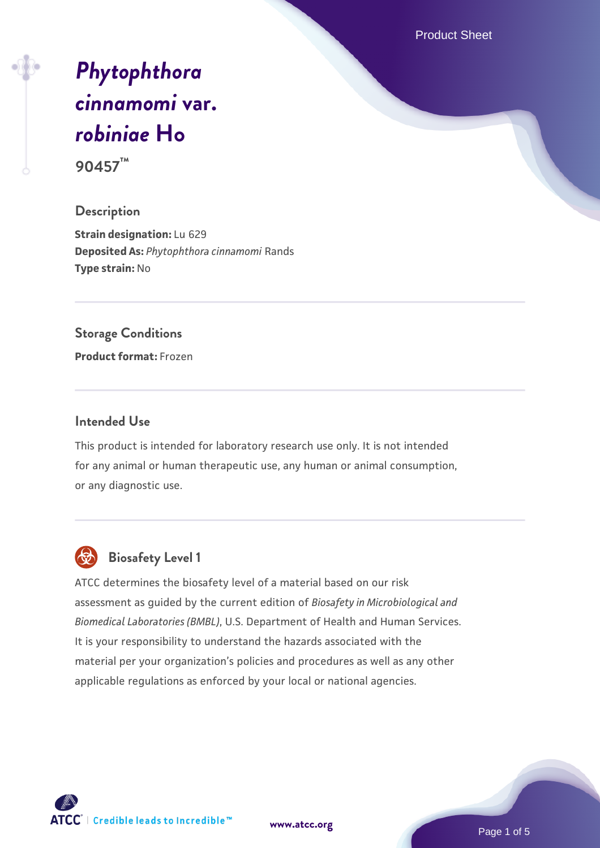Product Sheet

# *[Phytophthora](https://www.atcc.org/products/90457) [cinnamomi](https://www.atcc.org/products/90457)* **[var.](https://www.atcc.org/products/90457)** *[robiniae](https://www.atcc.org/products/90457)* **[Ho](https://www.atcc.org/products/90457)**

**90457™**

#### **Description**

**Strain designation:** Lu 629 **Deposited As:** *Phytophthora cinnamomi* Rands **Type strain:** No

#### **Storage Conditions**

**Product format:** Frozen

#### **Intended Use**

This product is intended for laboratory research use only. It is not intended for any animal or human therapeutic use, any human or animal consumption, or any diagnostic use.



## **Biosafety Level 1**

ATCC determines the biosafety level of a material based on our risk assessment as guided by the current edition of *Biosafety in Microbiological and Biomedical Laboratories (BMBL)*, U.S. Department of Health and Human Services. It is your responsibility to understand the hazards associated with the material per your organization's policies and procedures as well as any other applicable regulations as enforced by your local or national agencies.

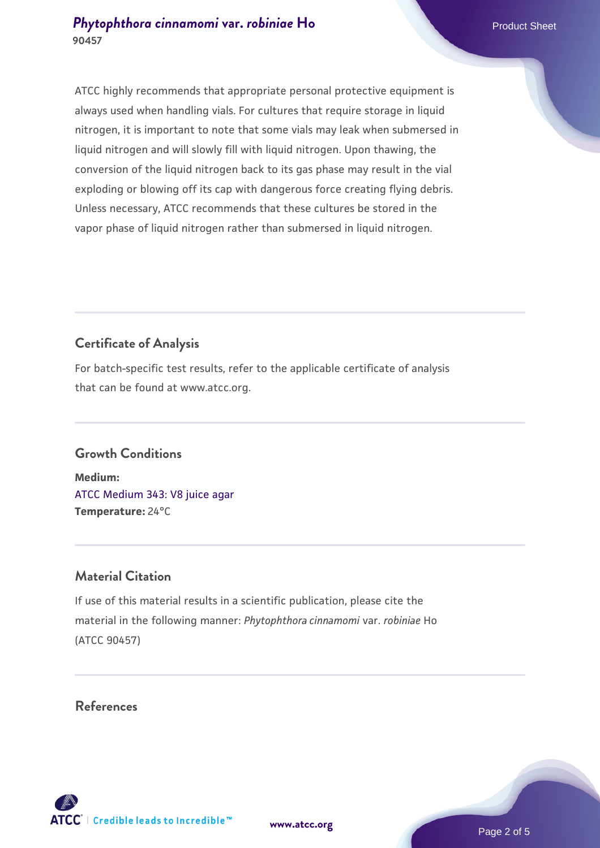#### **[Phytophthora cinnamomi](https://www.atcc.org/products/90457) [var.](https://www.atcc.org/products/90457)** *[robiniae](https://www.atcc.org/products/90457)* [Ho](https://www.atcc.org/products/90457)<br>Product Sheet **90457**

ATCC highly recommends that appropriate personal protective equipment is always used when handling vials. For cultures that require storage in liquid nitrogen, it is important to note that some vials may leak when submersed in liquid nitrogen and will slowly fill with liquid nitrogen. Upon thawing, the conversion of the liquid nitrogen back to its gas phase may result in the vial exploding or blowing off its cap with dangerous force creating flying debris. Unless necessary, ATCC recommends that these cultures be stored in the vapor phase of liquid nitrogen rather than submersed in liquid nitrogen.

# **Certificate of Analysis**

For batch-specific test results, refer to the applicable certificate of analysis that can be found at www.atcc.org.

#### **Growth Conditions**

**Medium:**  [ATCC Medium 343: V8 juice agar](https://www.atcc.org/-/media/product-assets/documents/microbial-media-formulations/3/4/3/atcc-medium-0343.pdf?rev=fbf48fa24e664932828269db1822ab12) **Temperature:** 24°C

#### **Material Citation**

If use of this material results in a scientific publication, please cite the material in the following manner: *Phytophthora cinnamomi* var. *robiniae* Ho (ATCC 90457)

#### **References**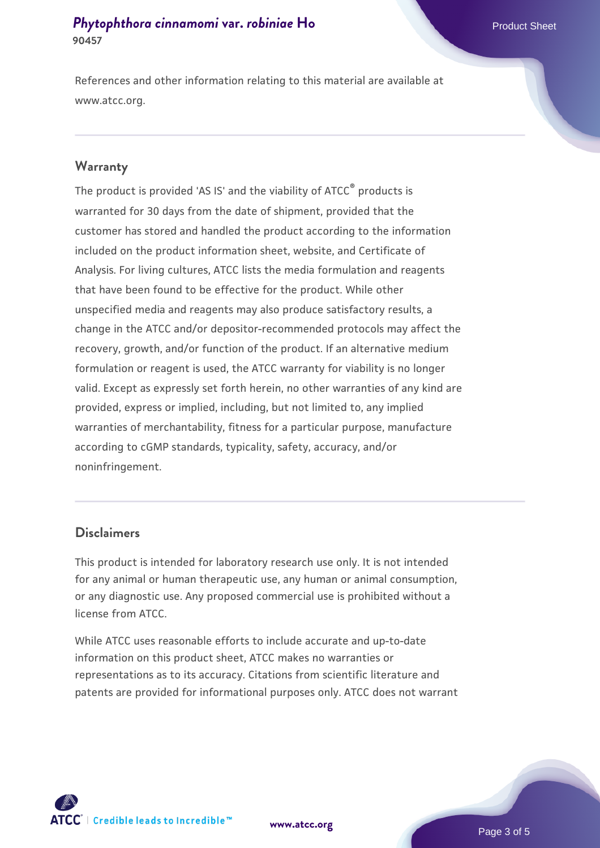#### **[Phytophthora cinnamomi](https://www.atcc.org/products/90457) [var.](https://www.atcc.org/products/90457)** *[robiniae](https://www.atcc.org/products/90457)* [Ho](https://www.atcc.org/products/90457)<br>Product Sheet **90457**

References and other information relating to this material are available at www.atcc.org.

#### **Warranty**

The product is provided 'AS IS' and the viability of ATCC<sup>®</sup> products is warranted for 30 days from the date of shipment, provided that the customer has stored and handled the product according to the information included on the product information sheet, website, and Certificate of Analysis. For living cultures, ATCC lists the media formulation and reagents that have been found to be effective for the product. While other unspecified media and reagents may also produce satisfactory results, a change in the ATCC and/or depositor-recommended protocols may affect the recovery, growth, and/or function of the product. If an alternative medium formulation or reagent is used, the ATCC warranty for viability is no longer valid. Except as expressly set forth herein, no other warranties of any kind are provided, express or implied, including, but not limited to, any implied warranties of merchantability, fitness for a particular purpose, manufacture according to cGMP standards, typicality, safety, accuracy, and/or noninfringement.

#### **Disclaimers**

This product is intended for laboratory research use only. It is not intended for any animal or human therapeutic use, any human or animal consumption, or any diagnostic use. Any proposed commercial use is prohibited without a license from ATCC.

While ATCC uses reasonable efforts to include accurate and up-to-date information on this product sheet, ATCC makes no warranties or representations as to its accuracy. Citations from scientific literature and patents are provided for informational purposes only. ATCC does not warrant

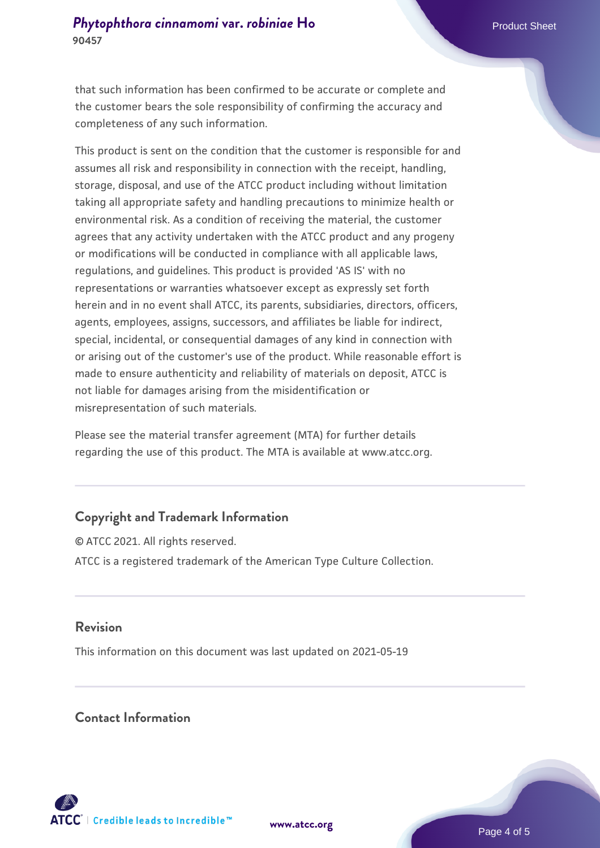**90457**

that such information has been confirmed to be accurate or complete and the customer bears the sole responsibility of confirming the accuracy and completeness of any such information.

This product is sent on the condition that the customer is responsible for and assumes all risk and responsibility in connection with the receipt, handling, storage, disposal, and use of the ATCC product including without limitation taking all appropriate safety and handling precautions to minimize health or environmental risk. As a condition of receiving the material, the customer agrees that any activity undertaken with the ATCC product and any progeny or modifications will be conducted in compliance with all applicable laws, regulations, and guidelines. This product is provided 'AS IS' with no representations or warranties whatsoever except as expressly set forth herein and in no event shall ATCC, its parents, subsidiaries, directors, officers, agents, employees, assigns, successors, and affiliates be liable for indirect, special, incidental, or consequential damages of any kind in connection with or arising out of the customer's use of the product. While reasonable effort is made to ensure authenticity and reliability of materials on deposit, ATCC is not liable for damages arising from the misidentification or misrepresentation of such materials.

Please see the material transfer agreement (MTA) for further details regarding the use of this product. The MTA is available at www.atcc.org.

### **Copyright and Trademark Information**

© ATCC 2021. All rights reserved. ATCC is a registered trademark of the American Type Culture Collection.

#### **Revision**

This information on this document was last updated on 2021-05-19

#### **Contact Information**